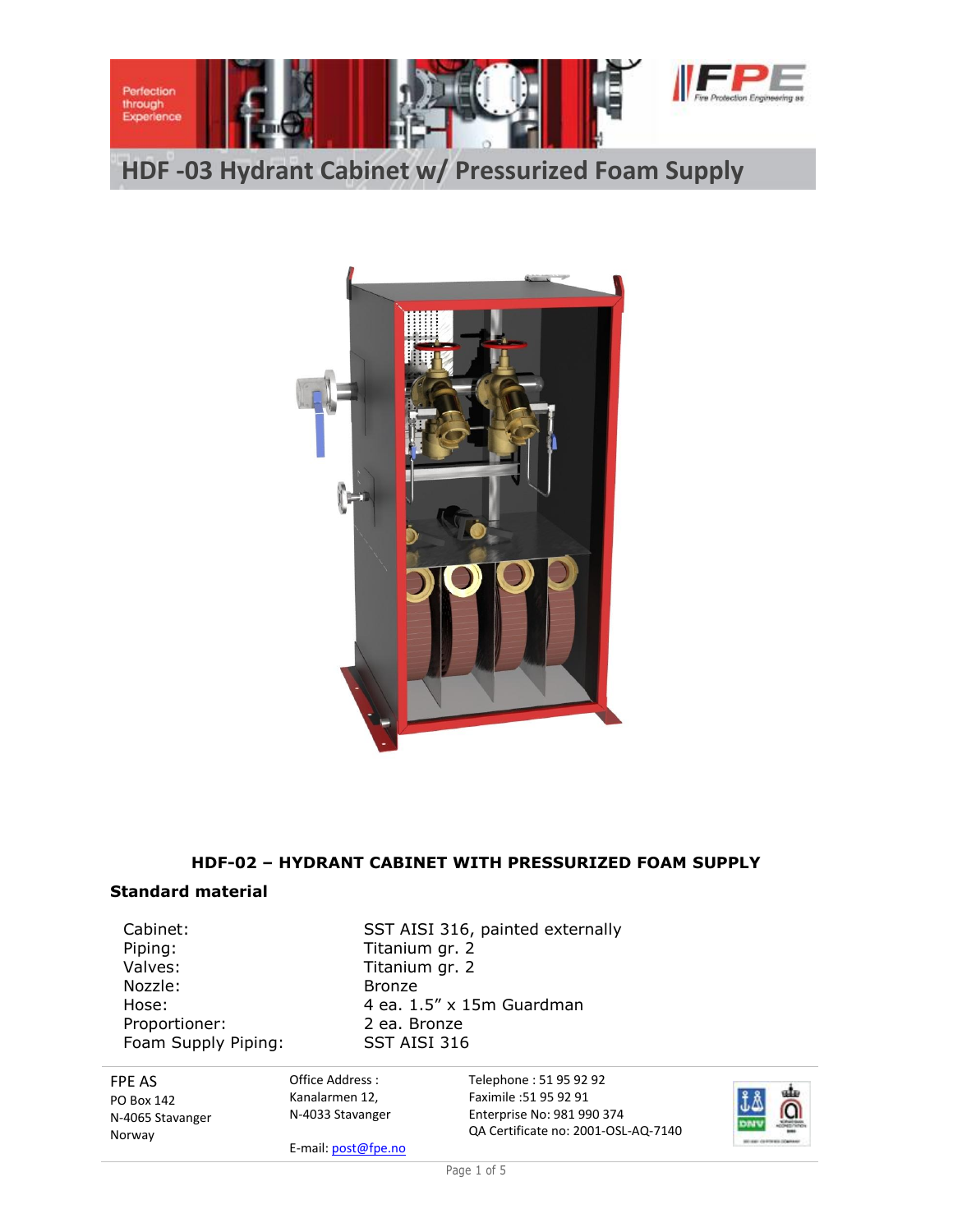

**HDF -03 Hydrant Cabinet w/ Pressurized Foam Supply**



#### **HDF-02 – HYDRANT CABINET WITH PRESSURIZED FOAM SUPPLY**

#### **Standard material**

Piping: Titanium gr. 2<br>Valves: Titanium gr. 2 Nozzle: Bronze Proportioner: 2 ea. Bronze Foam Supply Piping: SST AISI 316

Cabinet: SST AISI 316, painted externally Titanium gr. 2 Hose: 4 ea. 1.5" x 15m Guardman

FPE AS PO Box 142 N-4065 Stavanger Norway

Office Address : Kanalarmen 12, N-4033 Stavanger

E-mail: post@fpe.no

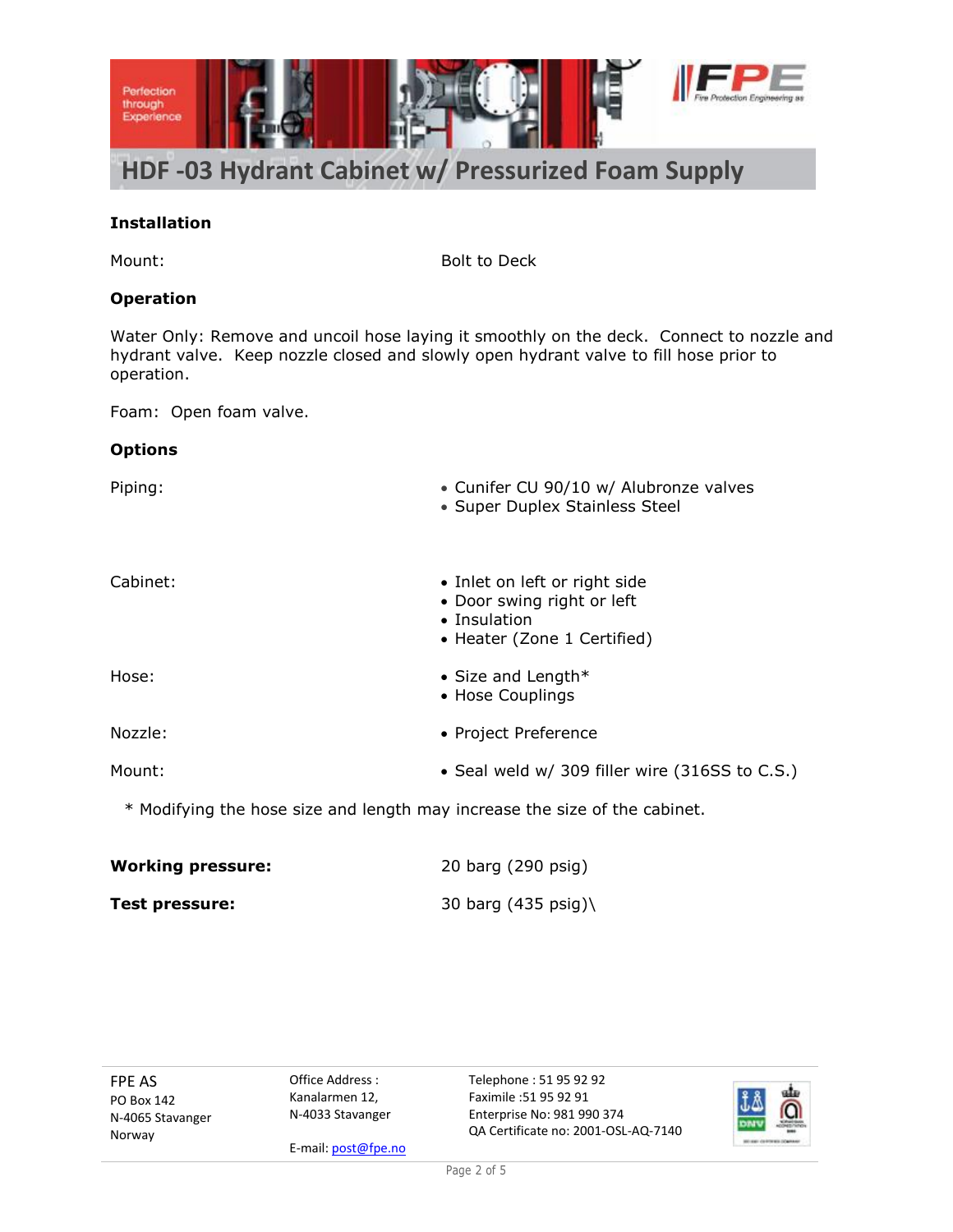

### **Installation**

Mount: Bolt to Deck

### **Operation**

Water Only: Remove and uncoil hose laying it smoothly on the deck. Connect to nozzle and hydrant valve. Keep nozzle closed and slowly open hydrant valve to fill hose prior to operation.

Foam: Open foam valve.

### **Options**

| Piping:  | • Cunifer CU 90/10 w/ Alubronze valves<br>• Super Duplex Stainless Steel                                   |
|----------|------------------------------------------------------------------------------------------------------------|
| Cabinet: | • Inlet on left or right side<br>• Door swing right or left<br>• Insulation<br>• Heater (Zone 1 Certified) |
| Hose:    | • Size and Length $*$<br>• Hose Couplings                                                                  |
| Nozzle:  | • Project Preference                                                                                       |
| Mount:   | • Seal weld w/ 309 filler wire (316SS to C.S.)                                                             |
|          | $*$ Modificing the bess size and length may increase the size of the sabinet                               |

Modifying the hose size and length may increase the size of the cabinet.

| <b>Working pressure:</b> | 20 barg (290 psig)            |
|--------------------------|-------------------------------|
| <b>Test pressure:</b>    | 30 barg $(435 \text{ psig})\$ |

FPE AS PO Box 142 N-4065 Stavanger Norway

Office Address : Kanalarmen 12, N-4033 Stavanger

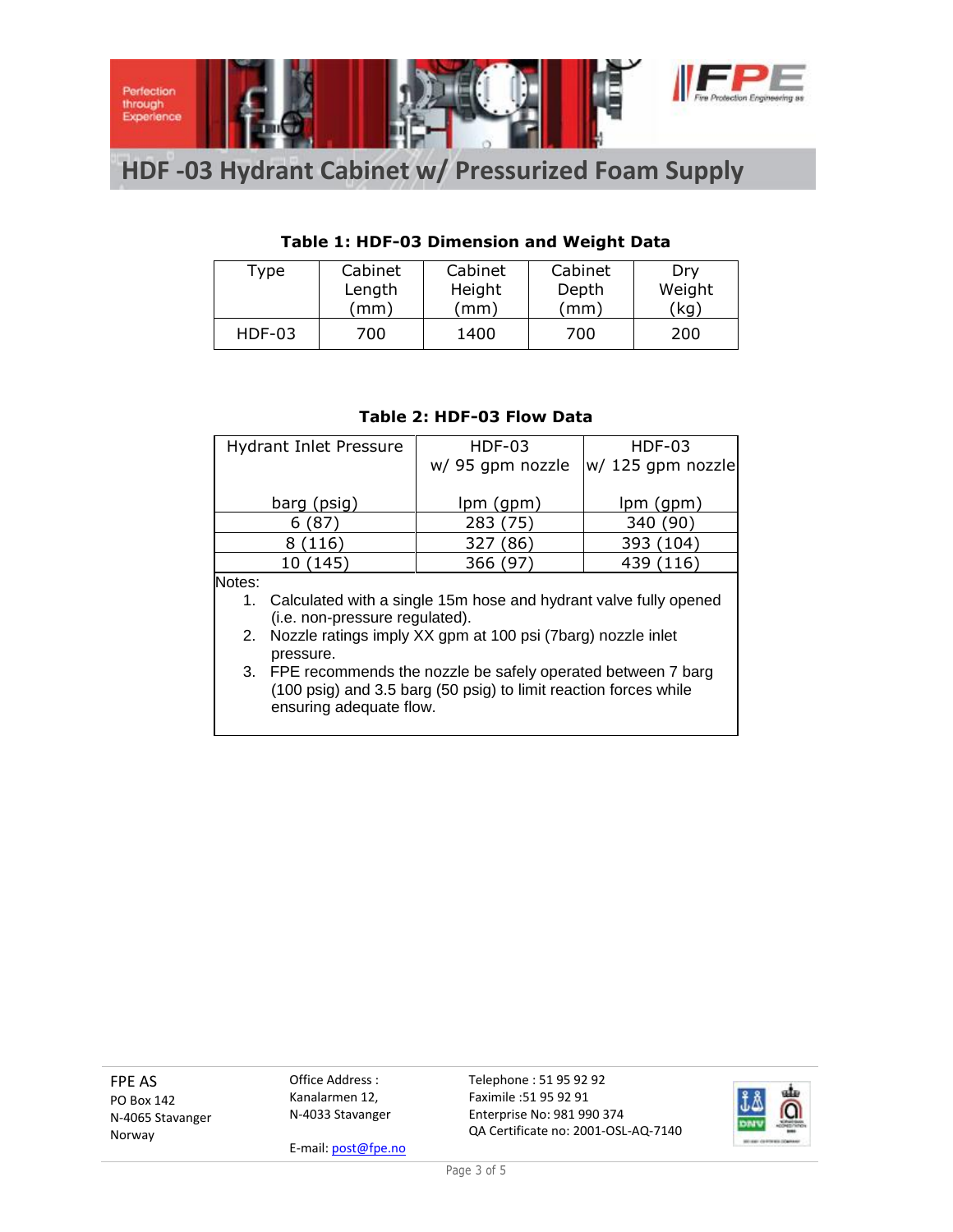

# **HDF -03 Hydrant Cabinet w/ Pressurized Foam Supply**

## **Table 1: HDF-03 Dimension and Weight Data**

| Type          | Cabinet | Cabinet<br>Cabinet |       | Dry     |
|---------------|---------|--------------------|-------|---------|
|               | Length  | Height             | Depth | Weight  |
|               | (mm)    | (mm)               | (mm)  | $'$ kg) |
| <b>HDF-03</b> | 700     | 1400               | 700   | 200     |

|        | <b>Hydrant Inlet Pressure</b>                                    | $HDF-03$         | $HDF-03$          |  |  |  |
|--------|------------------------------------------------------------------|------------------|-------------------|--|--|--|
|        |                                                                  | w/ 95 gpm nozzle | w/ 125 gpm nozzle |  |  |  |
|        |                                                                  |                  |                   |  |  |  |
|        | barg (psig)                                                      | $lpm($ gpm $)$   | lpm (gpm)         |  |  |  |
|        | 6(87)                                                            | 283 (75)         | 340 (90)          |  |  |  |
|        | (116)<br>8.                                                      | 327 (86)         | 393 (104)         |  |  |  |
|        | 10 (145)                                                         | 366 (97)         | 439 (116)         |  |  |  |
| Notes: |                                                                  |                  |                   |  |  |  |
| 1.     | Calculated with a single 15m hose and hydrant valve fully opened |                  |                   |  |  |  |
|        | (i.e. non-pressure regulated).                                   |                  |                   |  |  |  |
|        | 2. Nozzle ratings imply XX gpm at 100 psi (7barg) nozzle inlet   |                  |                   |  |  |  |
|        | pressure.                                                        |                  |                   |  |  |  |
|        | 3. FPE recommends the nozzle be safely operated between 7 barg   |                  |                   |  |  |  |
|        | (100 psig) and 3.5 barg (50 psig) to limit reaction forces while |                  |                   |  |  |  |
|        | ensuring adequate flow.                                          |                  |                   |  |  |  |

#### **Table 2: HDF-03 Flow Data**

FPE AS PO Box 142 N-4065 Stavanger Norway

Office Address : Kanalarmen 12, N-4033 Stavanger

E-mail: post@fpe.no

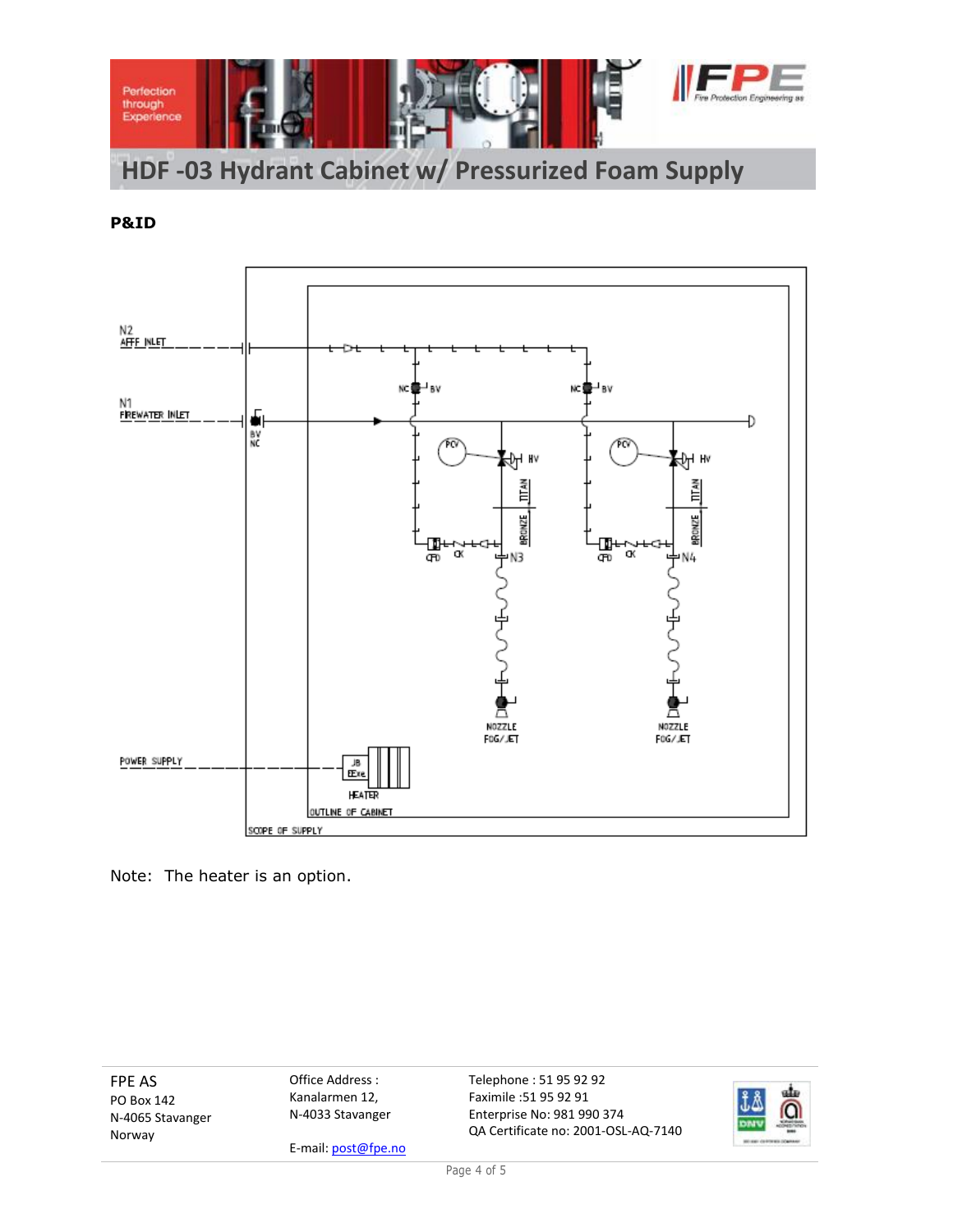

**P&ID**



Note: The heater is an option.

FPE AS PO Box 142 N-4065 Stavanger Norway

Office Address : Kanalarmen 12, N-4033 Stavanger

E-mail: post@fpe.no